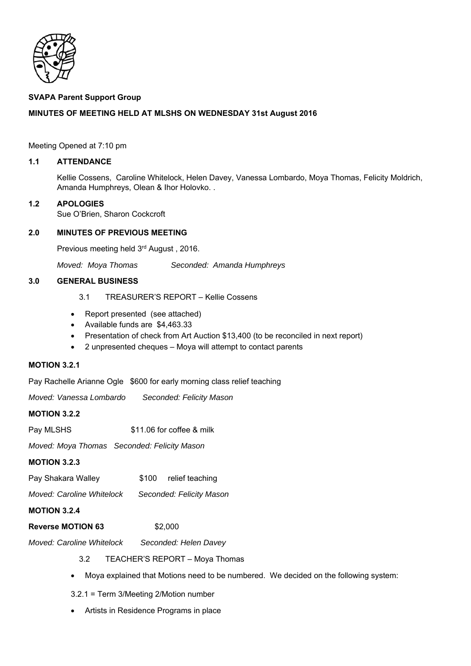

### **SVAPA Parent Support Group**

# **MINUTES OF MEETING HELD AT MLSHS ON WEDNESDAY 31st August 2016**

Meeting Opened at 7:10 pm

#### **1.1 ATTENDANCE**

Kellie Cossens, Caroline Whitelock, Helen Davey, Vanessa Lombardo, Moya Thomas, Felicity Moldrich, Amanda Humphreys, Olean & Ihor Holovko. .

### **1.2 APOLOGIES**

Sue O'Brien, Sharon Cockcroft

# **2.0 MINUTES OF PREVIOUS MEETING**

Previous meeting held 3rd August , 2016.

*Moved: Moya Thomas Seconded: Amanda Humphreys* 

# **3.0 GENERAL BUSINESS**

- 3.1 TREASURER'S REPORT Kellie Cossens
- Report presented (see attached)
- Available funds are \$4,463.33
- Presentation of check from Art Auction \$13,400 (to be reconciled in next report)
- 2 unpresented cheques Moya will attempt to contact parents

### **MOTION 3.2.1**

Pay Rachelle Arianne Ogle \$600 for early morning class relief teaching

*Moved: Vanessa Lombardo Seconded: Felicity Mason*  **MOTION 3.2.2**  Pay MLSHS  $$11.06$  for coffee & milk *Moved: Moya Thomas Seconded: Felicity Mason*  **MOTION 3.2.3**  Pay Shakara Walley  $$100$  relief teaching *Moved: Caroline Whitelock Seconded: Felicity Mason*  **MOTION 3.2.4 Reverse MOTION 63** \$2,000 *Moved: Caroline Whitelock Seconded: Helen Davey* 

3.2 TEACHER'S REPORT – Moya Thomas

- Moya explained that Motions need to be numbered. We decided on the following system:
- 3.2.1 = Term 3/Meeting 2/Motion number
- Artists in Residence Programs in place